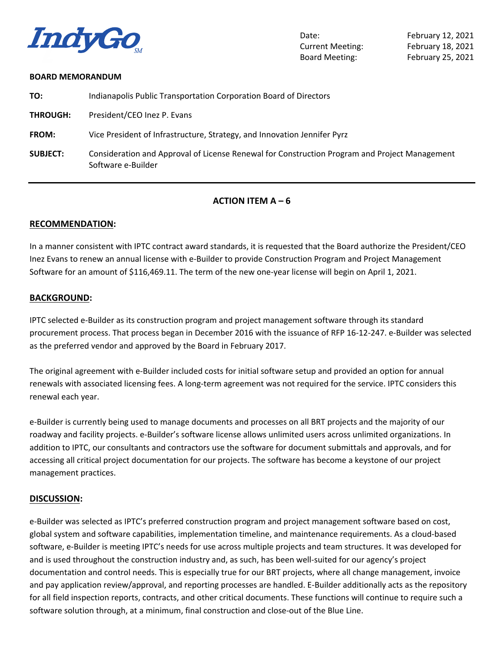

Date: February 12, 2021 Current Meeting: February 18, 2021 Board Meeting: February 25, 2021

#### **BOARD MEMORANDUM**

| TO:             | Indianapolis Public Transportation Corporation Board of Directors                                                   |
|-----------------|---------------------------------------------------------------------------------------------------------------------|
| <b>THROUGH:</b> | President/CEO Inez P. Evans                                                                                         |
| FROM:           | Vice President of Infrastructure, Strategy, and Innovation Jennifer Pyrz                                            |
| <b>SUBJECT:</b> | Consideration and Approval of License Renewal for Construction Program and Project Management<br>Software e-Builder |

### **ACTION ITEM**  $A - 6$

### **RECOMMENDATION:**

In a manner consistent with IPTC contract award standards, it is requested that the Board authorize the President/CEO Inez Evans to renew an annual license with e-Builder to provide Construction Program and Project Management Software for an amount of \$116,469.11. The term of the new one-year license will begin on April 1, 2021.

#### **BACKGROUND:**

IPTC selected e-Builder as its construction program and project management software through its standard procurement process. That process began in December 2016 with the issuance of RFP 16-12-247. e-Builder was selected as the preferred vendor and approved by the Board in February 2017.

The original agreement with e-Builder included costs for initial software setup and provided an option for annual renewals with associated licensing fees. A long-term agreement was not required for the service. IPTC considers this renewal each year.

e-Builder is currently being used to manage documents and processes on all BRT projects and the majority of our roadway and facility projects. e-Builder's software license allows unlimited users across unlimited organizations. In addition to IPTC, our consultants and contractors use the software for document submittals and approvals, and for accessing all critical project documentation for our projects. The software has become a keystone of our project management practices.

#### **DISCUSSION:**

e-Builder was selected as IPTC's preferred construction program and project management software based on cost, global system and software capabilities, implementation timeline, and maintenance requirements. As a cloud-based software, e-Builder is meeting IPTC's needs for use across multiple projects and team structures. It was developed for and is used throughout the construction industry and, as such, has been well-suited for our agency's project documentation and control needs. This is especially true for our BRT projects, where all change management, invoice and pay application review/approval, and reporting processes are handled. E-Builder additionally acts as the repository for all field inspection reports, contracts, and other critical documents. These functions will continue to require such a software solution through, at a minimum, final construction and close-out of the Blue Line.